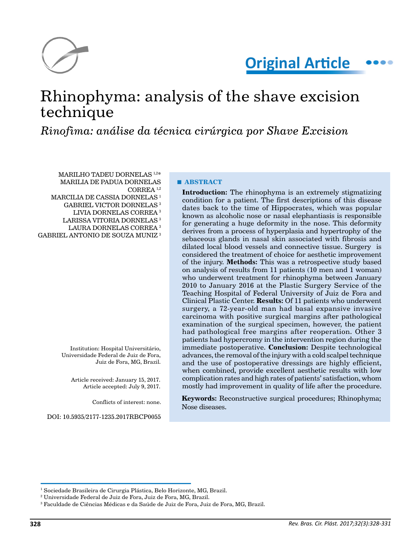

# Rhinophyma: analysis of the shave excision technique

*Rinofima: análise da técnica cirúrgica por Shave Excision*

MARILHO TADEU DORNELAS 1,2\* MARILIA DE PADUA DORNELAS CORREA 1,2 MARCILIA DE CASSIA DORNELAS<sup>1</sup> GABRIEL VICTOR DORNELAS 3 LIVIA DORNELAS CORREA 3

- 
- LARISSA VITORIA DORNELAS<sup>3</sup>
- LAURA DORNELAS CORREA 3

GABRIEL ANTONIO DE SOUZA MUNIZ 3

Institution: Hospital Universitário, Universidade Federal de Juiz de Fora, Juiz de Fora, MG, Brazil.

Article received: January 15, 2017. Article accepted: July 9, 2017.

Conflicts of interest: none.

DOI: 10.5935/2177-1235.2017RBCP0055

**■ ABSTRACT**

**Introduction:** The rhinophyma is an extremely stigmatizing condition for a patient. The first descriptions of this disease dates back to the time of Hippocrates, which was popular known as alcoholic nose or nasal elephantiasis is responsible for generating a huge deformity in the nose. This deformity derives from a process of hyperplasia and hypertrophy of the sebaceous glands in nasal skin associated with fibrosis and dilated local blood vessels and connective tissue. Surgery is considered the treatment of choice for aesthetic improvement of the injury. **Methods:** This was a retrospective study based on analysis of results from 11 patients (10 men and 1 woman) who underwent treatment for rhinophyma between January 2010 to January 2016 at the Plastic Surgery Service of the Teaching Hospital of Federal University of Juiz de Fora and Clinical Plastic Center. **Results:** Of 11 patients who underwent surgery, a 72-year-old man had basal expansive invasive carcinoma with positive surgical margins after pathological examination of the surgical specimen, however, the patient had pathological free margins after reoperation. Other 3 patients had hypercromy in the intervention region during the immediate postoperative. **Conclusion:** Despite technological advances, the removal of the injury with a cold scalpel technique and the use of postoperative dressings are highly efficient, when combined, provide excellent aesthetic results with low complication rates and high rates of patients' satisfaction, whom mostly had improvement in quality of life after the procedure.

**Keywords:** Reconstructive surgical procedures; Rhinophyma; Nose diseases.

<sup>&</sup>lt;sup>1</sup> Sociedade Brasileira de Cirurgia Plástica, Belo Horizonte, MG, Brazil.

<sup>2</sup> Universidade Federal de Juiz de Fora, Juiz de Fora, MG, Brazil.

 $^3$  Faculdade de Ciências Médicas e da Saúde de Juiz de Fora, Juiz de Fora, MG, Brazil.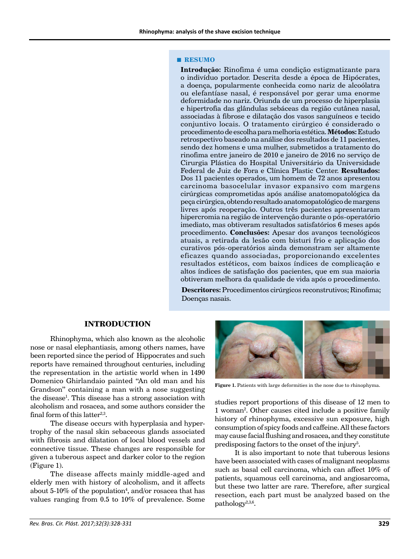#### **■ RESUMO**

**Introdução:** Rinofima é uma condição estigmatizante para o indivíduo portador. Descrita desde a época de Hipócrates, a doença, popularmente conhecida como nariz de alcoólatra ou elefantíase nasal, é responsável por gerar uma enorme deformidade no nariz. Oriunda de um processo de hiperplasia e hipertrofia das glândulas sebáceas da região cutânea nasal, associadas à fibrose e dilatação dos vasos sanguíneos e tecido conjuntivo locais. O tratamento cirúrgico é considerado o procedimento de escolha para melhoria estética. **Métodos:** Estudo retrospectivo baseado na análise dos resultados de 11 pacientes, sendo dez homens e uma mulher, submetidos a tratamento do rinofima entre janeiro de 2010 e janeiro de 2016 no serviço de Cirurgia Plástica do Hospital Universitário da Universidade Federal de Juiz de Fora e Clínica Plastic Center. **Resultados:**  Dos 11 pacientes operados, um homem de 72 anos apresentou carcinoma basocelular invasor expansivo com margens cirúrgicas comprometidas após análise anatomopatológica da peça cirúrgica, obtendo resultado anatomopatológico de margens livres após reoperação. Outros três pacientes apresentaram hipercromia na região de intervenção durante o pós-operatório imediato, mas obtiveram resultados satisfatórios 6 meses após procedimento. **Conclusões:** Apesar dos avanços tecnológicos atuais, a retirada da lesão com bisturi frio e aplicação dos curativos pós-operatórios ainda demonstram ser altamente eficazes quando associadas, proporcionando excelentes resultados estéticos, com baixos índices de complicação e altos índices de satisfação dos pacientes, que em sua maioria obtiveram melhora da qualidade de vida após o procedimento.

**Descritores:** Procedimentos cirúrgicos reconstrutivos; Rinofima; Doenças nasais.

# **INTRODUCTION**

Rhinophyma, which also known as the alcoholic nose or nasal elephantiasis, among others names, have been reported since the period of Hippocrates and such reports have remained throughout centuries, including the representation in the artistic world when in 1490 Domenico Ghirlandaio painted "An old man and his Grandson" containing a man with a nose suggesting the disease<sup>1</sup>. This disease has a strong association with alcoholism and rosacea, and some authors consider the final form of this latter<sup>2,3</sup>.

The disease occurs with hyperplasia and hypertrophy of the nasal skin sebaceous glands associated with fibrosis and dilatation of local blood vessels and connective tissue. These changes are responsible for given a tuberous aspect and darker color to the region (Figure 1).

The disease affects mainly middle-aged and elderly men with history of alcoholism, and it affects about 5-10% of the population<sup>4</sup>, and/or rosacea that has values ranging from 0.5 to 10% of prevalence. Some



Figure 1. Patients with large deformities in the nose due to rhinophyma.

studies report proportions of this disease of 12 men to 1 woman2 . Other causes cited include a positive family history of rhinophyma, excessive sun exposure, high consumption of spicy foods and caffeine. All these factors may cause facial flushing and rosacea, and they constitute predisposing factors to the onset of the injury<sup>5</sup>.

It is also important to note that tuberous lesions have been associated with cases of malignant neoplasms such as basal cell carcinoma, which can affect 10% of patients, squamous cell carcinoma, and angiosarcoma, but these two latter are rare. Therefore, after surgical resection, each part must be analyzed based on the pathology<sup>2,3,6</sup>.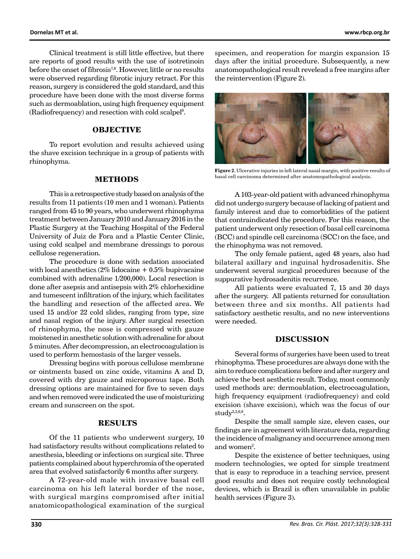Clinical treatment is still little effective, but there are reports of good results with the use of isotretinoin before the onset of fibrosis<sup>7,8</sup>. However, little or no results were observed regarding fibrotic injury retract. For this reason, surgery is considered the gold standard, and this procedure have been done with the most diverse forms such as dermoablation, using high frequency equipment (Radiofrequency) and resection with cold scalpel9 .

## **OBJECTIVE**

To report evolution and results achieved using the shave excision technique in a group of patients with rhinophyma.

#### **METHODS**

This is a retrospective study based on analysis of the results from 11 patients (10 men and 1 woman). Patients ranged from 45 to 90 years, who underwent rhinophyma treatment between January 2010 and January 2016 in the Plastic Surgery at the Teaching Hospital of the Federal University of Juiz de Fora and a Plastic Center Clinic, using cold scalpel and membrane dressings to porous cellulose regeneration.

The procedure is done with sedation associated with local anesthetics  $(2\%$  lidocaine +  $0.5\%$  bupivacaine combined with adrenaline 1/200,000). Local resection is done after asepsis and antisepsis with 2% chlorhexidine and tumescent infiltration of the injury, which facilitates the handling and resection of the affected area. We used 15 and/or 22 cold slides, ranging from type, size and nasal region of the injury. After surgical resection of rhinophyma, the nose is compressed with gauze moistened in anesthetic solution with adrenaline for about 5 minutes. After decompression, an electrocoagulation is used to perform hemostasis of the larger vessels.

Dressing begins with porous cellulose membrane or ointments based on zinc oxide, vitamins A and D, covered with dry gauze and microporous tape. Both dressing options are maintained for five to seven days and when removed were indicated the use of moisturizing cream and sunscreen on the spot.

## **RESULTS**

Of the 11 patients who underwent surgery, 10 had satisfactory results without complications related to anesthesia, bleeding or infections on surgical site. Three patients complained about hyperchromia of the operated area that evolved satisfactorily 6 months after surgery.

A 72-year-old male with invasive basal cell carcinoma on his left lateral border of the nose, with surgical margins compromised after initial anatomicopathological examination of the surgical specimen, and reoperation for margin expansion 15 days after the initial procedure. Subsequently, a new anatomopathological result revelead a free margins after the reintervention (Figure 2).



**Figure 2.** Ulcerative injuries in left lateral nasal margin, with positive results of basal cell carcinoma determined after anatomopathological analysis.

A 103-year-old patient with advanced rhinophyma did not undergo surgery because of lacking of patient and family interest and due to comorbidities of the patient that contraindicated the procedure. For this reason, the patient underwent only resection of basal cell carcinoma (BCC) and spindle cell carcinoma (SCC) on the face, and the rhinophyma was not removed.

The only female patient, aged 48 years, also had bilateral axillary and inguinal hydrosadenitis. She underwent several surgical procedures because of the suppurative hydrosadenitis recurrence.

All patients were evaluated 7, 15 and 30 days after the surgery. All patients returned for consultation between three and six months. All patients had satisfactory aesthetic results, and no new interventions were needed.

#### **DISCUSSION**

Several forms of surgeries have been used to treat rhinophyma. These procedures are always done with the aim to reduce complications before and after surgery and achieve the best aesthetic result. Today, most commonly used methods are: dermoablation, electrocoagulation, high frequency equipment (radiofrequency) and cold excision (shave excision), which was the focus of our study $2,3,6,9$ .

Despite the small sample size, eleven cases, our findings are in agreement with literature data, regarding the incidence of malignancy and occurrence among men and women<sup>2</sup>.

Despite the existence of better techniques, using modern technologies, we opted for simple treatment that is easy to reproduce in a teaching service, present good results and does not require costly technological devices, which is Brazil is often unavailable in public health services (Figure 3).